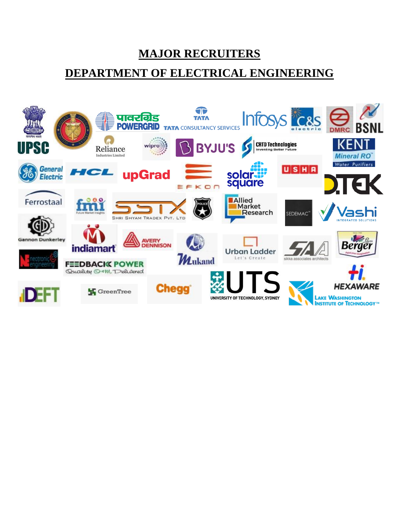**MAJOR RECRUITERS** 

## **DEPARTMENT OF ELECTRICAL ENGINEERING**

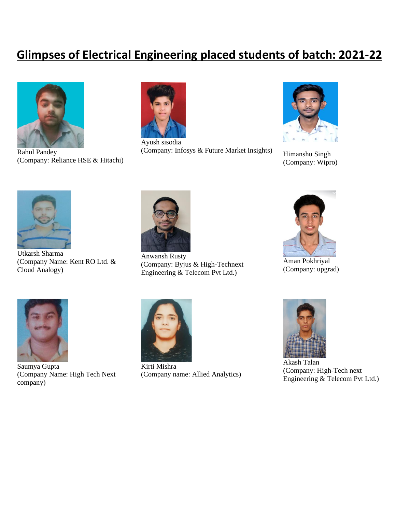## **Glimpses of Electrical Engineering placed students of batch: 2021-22**



Rahul Pandey (Company: Reliance HSE & Hitachi)



Ayush sisodia (Company: Infosys & Future Market Insights) Himanshu Singh



(Company: Wipro)



Utkarsh Sharma (Company Name: Kent RO Ltd. & Cloud Analogy)



Anwansh Rusty (Company: Byjus & High-Technext Engineering & Telecom Pvt Ltd.)



Aman Pokhriyal (Company: upgrad)



Saumya Gupta (Company Name: High Tech Next company)



Kirti Mishra (Company name: Allied Analytics)



Akash Talan (Company: High-Tech next Engineering & Telecom Pvt Ltd.)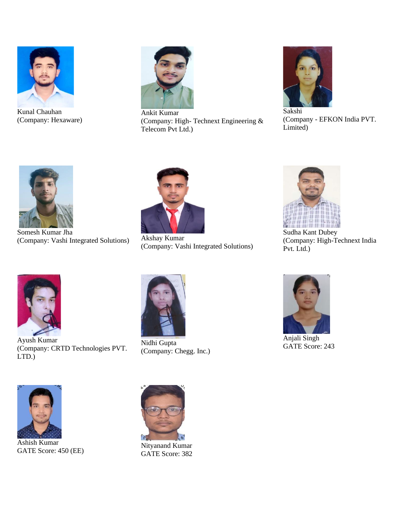

Kunal Chauhan (Company: Hexaware)



Ankit Kumar (Company: High- Technext Engineering & Telecom Pvt Ltd.)



(Company - EFKON India PVT. Limited)



Somesh Kumar Jha (Company: Vashi Integrated Solutions) Akshay Kumar



(Company: Vashi Integrated Solutions)



Sudha Kant Dubey (Company: High-Technext India Pvt. Ltd.)



Ayush Kumar (Company: CRTD Technologies PVT. LTD.)



Nidhi Gupta (Company: Chegg. Inc.)



Anjali Singh GATE Score: 243



Ashish Kumar GATE Score: 450 (EE)



Nityanand Kumar GATE Score: 382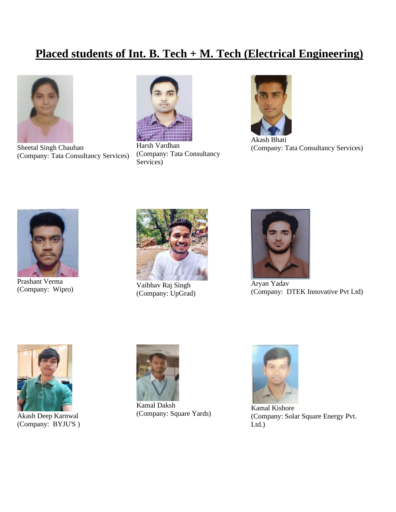## **Placed students of Int. B. Tech + M. Tech (Electrical Engineering)**



Sheetal Singh Chauhan (Company: Tata Consultancy Services)



Harsh Vardhan (Company: Tata Consultancy Services)



Akash Bhati (Company: Tata Consultancy Services)



Prashant Verma Prashant Verma<br>
(Company: Wipro) Vaibhav Raj Singh<br>
(Company: Wipro) (Company: LeCred



(Company: UpGrad)



Aryan Yadav (Company: DTEK Innovative Pvt Ltd)



Akash Deep Karnwal (Company: BYJU'S )



Kamal Daksh (Company: Square Yards)



Kamal Kishore (Company: Solar Square Energy Pvt. Ltd.)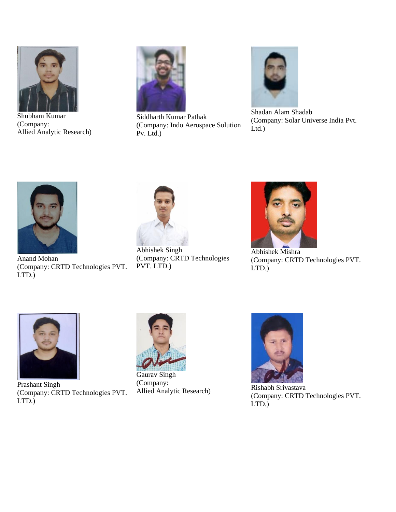

Shubham Kumar (Company: Allied Analytic Research)



Siddharth Kumar Pathak (Company: Indo Aerospace Solution Pv. Ltd.)



Shadan Alam Shadab (Company: Solar Universe India Pvt. Ltd.)



Anand Mohan (Company: CRTD Technologies PVT. LTD.)



Abhishek Singh (Company: CRTD Technologies PVT. LTD.)



Abhishek Mishra (Company: CRTD Technologies PVT. LTD.)



Prashant Singh (Company: CRTD Technologies PVT. LTD.)



Gaurav Singh (Company: Allied Analytic Research) Rishabh Srivastava



(Company: CRTD Technologies PVT. LTD.)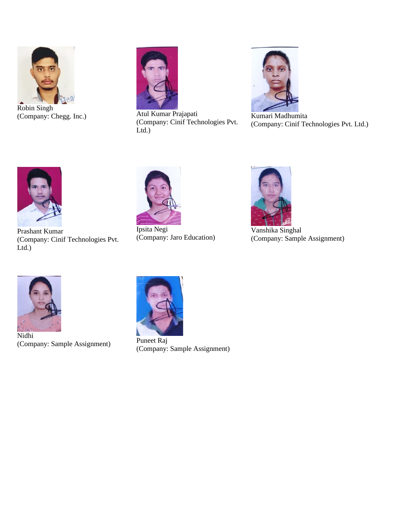

Robin Singh (Company: Chegg. Inc.) Atul Kumar Prajapati



(Company: Cinif Technologies Pvt. Ltd.)



Kumari Madhumita (Company: Cinif Technologies Pvt. Ltd.)



Prashant Kumar (Company: Cinif Technologies Pvt. Ltd.)



Ipsita Negi (Company: Jaro Education)



Vanshika Singhal (Company: Sample Assignment)



Nidhi (Company: Sample Assignment)



Puneet Raj (Company: Sample Assignment)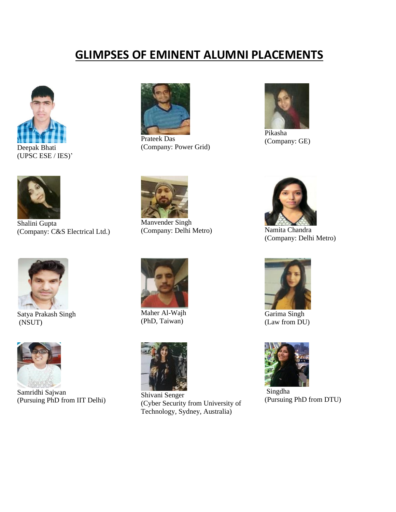## **GLIMPSES OF EMINENT ALUMNI PLACEMENTS**



(UPSC ESE / IES)'



Shalini Gupta (Company: C&S Electrical Ltd.)



Satya Prakash Singh (NSUT)



Samridhi Sajwan (Pursuing PhD from IIT Delhi)



Prateek Das (Company: Power Grid)



Pikasha (Company: GE)



Manvender Singh (Company: Delhi Metro) Namita Chandra



Maher Al-Wajh (PhD, Taiwan)



Shivani Senger (Cyber Security from University of Technology, Sydney, Australia)



(Company: Delhi Metro)



Garima Singh (Law from DU)



Singdha (Pursuing PhD from DTU)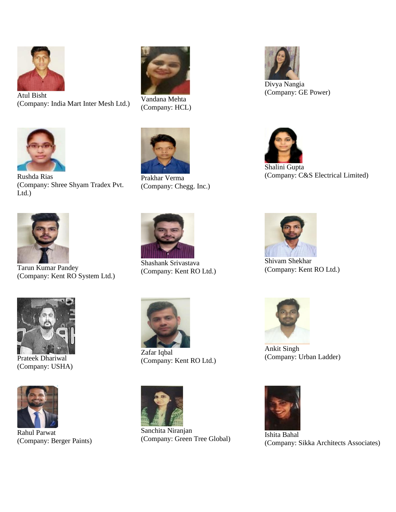

Atul Bisht (Company: India Mart Inter Mesh Ltd.) Vandana Mehta

(Company: Shree Shyam Tradex Pvt.



(Company: HCL)



Prakhar Verma (Company: Chegg. Inc.)



Rushda Rias

Ltd.)

Tarun Kumar Pandey (Company: Kent RO System Ltd.)



Prateek Dhariwal (Company: USHA)



Rahul Parwat (Company: Berger Paints)



Shashank Srivastava (Company: Kent RO Ltd.)



Zafar Iqbal (Company: Kent RO Ltd.)



Sanchita Niranjan Sancinia Niranjan<br>(Company: Green Tree Global) [Company: 6]



Shalini Gupta

(Company: C&S Electrical Limited)



Shivam Shekhar (Company: Kent RO Ltd.)



Ankit Singh (Company: Urban Ladder)



(Company: Sikka Architects Associates)